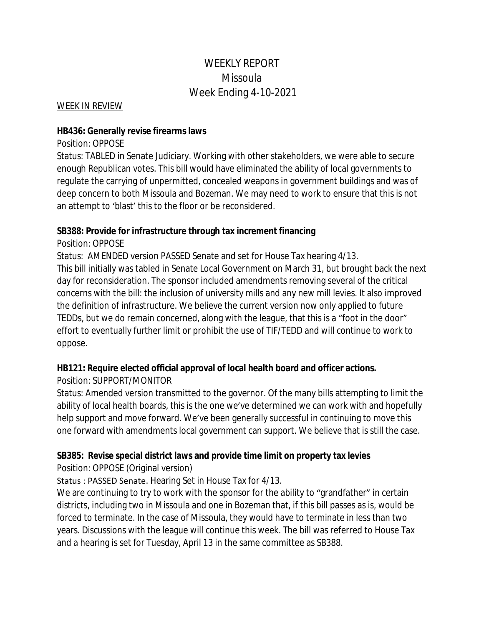# WEEKLY REPORT Missoula Week Ending 4-10-2021

WEEK IN REVIEW

#### **HB436: Generally revise firearms laws**

#### Position: OPPOSE

Status: TABLED in Senate Judiciary. Working with other stakeholders, we were able to secure enough Republican votes. This bill would have eliminated the ability of local governments to regulate the carrying of unpermitted, concealed weapons in government buildings and was of deep concern to both Missoula and Bozeman. We may need to work to ensure that this is not an attempt to 'blast' this to the floor or be reconsidered.

#### **SB388: Provide for infrastructure through tax increment financing**

Position: OPPOSE

Status: AMENDED version PASSED Senate and set for House Tax hearing 4/13. This bill initially was tabled in Senate Local Government on March 31, but brought back the next day for reconsideration. The sponsor included amendments removing several of the critical concerns with the bill: the inclusion of university mills and any new mill levies. It also improved the definition of infrastructure. We believe the current version now only applied to future TEDDs, but we do remain concerned, along with the league, that this is a "foot in the door" effort to eventually further limit or prohibit the use of TIF/TEDD and will continue to work to oppose.

### **HB121: Require elected official approval of local health board and officer actions.**

### Position: SUPPORT/MONITOR

Status: Amended version transmitted to the governor. Of the many bills attempting to limit the ability of local health boards, this is the one we've determined we can work with and hopefully help support and move forward. We've been generally successful in continuing to move this one forward with amendments local government can support. We believe that is still the case.

# **SB385: Revise special district laws and provide time limit on property tax levies**

Position: OPPOSE (Original version)

# Status : PASSED Senate. Hearing Set in House Tax for 4/13.

We are continuing to try to work with the sponsor for the ability to "grandfather" in certain districts, including two in Missoula and one in Bozeman that, if this bill passes as is, would be forced to terminate. In the case of Missoula, they would have to terminate in less than two years. Discussions with the league will continue this week. The bill was referred to House Tax and a hearing is set for Tuesday, April 13 in the same committee as SB388.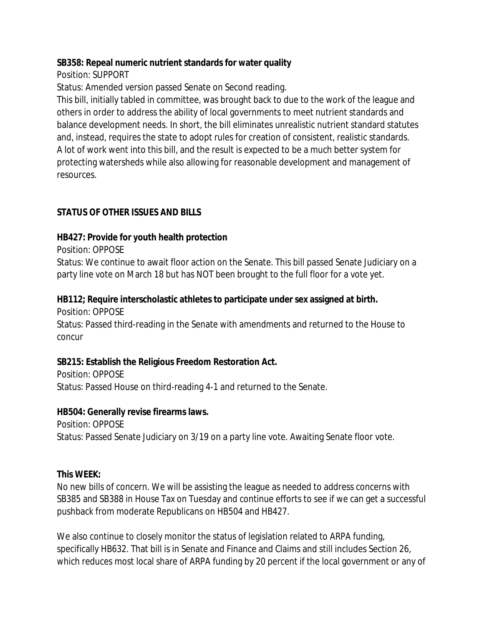### **SB358: Repeal numeric nutrient standards for water quality**

Position: SUPPORT

Status: Amended version passed Senate on Second reading.

This bill, initially tabled in committee, was brought back to due to the work of the league and others in order to address the ability of local governments to meet nutrient standards and balance development needs. In short, the bill eliminates unrealistic nutrient standard statutes and, instead, requires the state to adopt rules for creation of consistent, realistic standards. A lot of work went into this bill, and the result is expected to be a much better system for protecting watersheds while also allowing for reasonable development and management of resources.

# **STATUS OF OTHER ISSUES AND BILLS**

# **HB427: Provide for youth health protection**

Position: OPPOSE

Status: We continue to await floor action on the Senate. This bill passed Senate Judiciary on a party line vote on March 18 but has NOT been brought to the full floor for a vote yet.

# **HB112; Require interscholastic athletes to participate under sex assigned at birth.**

Position: OPPOSE Status: Passed third-reading in the Senate with amendments and returned to the House to concur

# **SB215: Establish the Religious Freedom Restoration Act.**

Position: OPPOSE Status: Passed House on third-reading 4-1 and returned to the Senate.

# **HB504: Generally revise firearms laws.**

Position: OPPOSE Status: Passed Senate Judiciary on 3/19 on a party line vote. Awaiting Senate floor vote.

# **This WEEK:**

No new bills of concern. We will be assisting the league as needed to address concerns with SB385 and SB388 in House Tax on Tuesday and continue efforts to see if we can get a successful pushback from moderate Republicans on HB504 and HB427.

We also continue to closely monitor the status of legislation related to ARPA funding, specifically HB632. That bill is in Senate and Finance and Claims and still includes Section 26, which reduces most local share of ARPA funding by 20 percent if the local government or any of